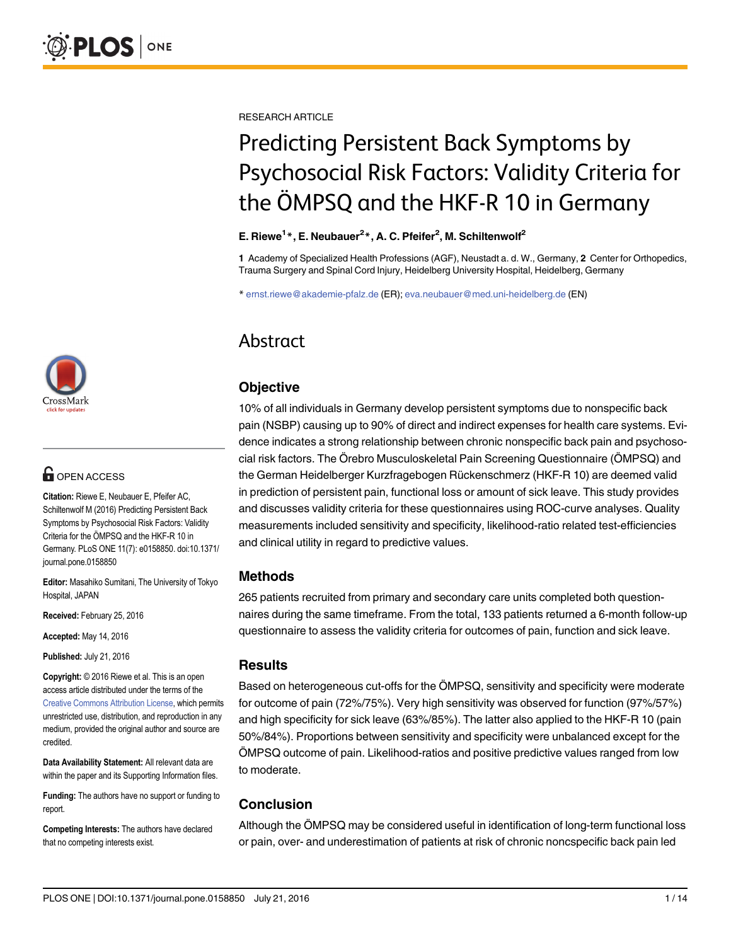

## $\blacksquare$  OPEN ACCESS

Citation: Riewe E, Neubauer E, Pfeifer AC, Schiltenwolf M (2016) Predicting Persistent Back Symptoms by Psychosocial Risk Factors: Validity Criteria for the ÖMPSQ and the HKF-R 10 in Germany. PLoS ONE 11(7): e0158850. doi:10.1371/ journal.pone.0158850

Editor: Masahiko Sumitani, The University of Tokyo Hospital, JAPAN

Received: February 25, 2016

Accepted: May 14, 2016

Published: July 21, 2016

Copyright: © 2016 Riewe et al. This is an open access article distributed under the terms of the [Creative Commons Attribution License,](http://creativecommons.org/licenses/by/4.0/) which permits unrestricted use, distribution, and reproduction in any medium, provided the original author and source are credited.

Data Availability Statement: All relevant data are within the paper and its Supporting Information files.

Funding: The authors have no support or funding to report.

Competing Interests: The authors have declared that no competing interests exist.

RESEARCH ARTICLE

# Predicting Persistent Back Symptoms by Psychosocial Risk Factors: Validity Criteria for the ÖMPSQ and the HKF-R 10 in Germany

### E. Riewe<sup>1</sup>\*, E. Neubauer<sup>2</sup>\*, A. C. Pfeifer<sup>2</sup>, M. Schiltenwolf<sup>2</sup>

1 Academy of Specialized Health Professions (AGF), Neustadt a. d. W., Germany, 2 Center for Orthopedics, Trauma Surgery and Spinal Cord Injury, Heidelberg University Hospital, Heidelberg, Germany

\* ernst.riewe@akademie-pfalz.de (ER); eva.neubauer@med.uni-heidelberg.de (EN)

# Abstract

### **Objective**

10% of all individuals in Germany develop persistent symptoms due to nonspecific back pain (NSBP) causing up to 90% of direct and indirect expenses for health care systems. Evidence indicates a strong relationship between chronic nonspecific back pain and psychosocial risk factors. The Örebro Musculoskeletal Pain Screening Questionnaire (ÖMPSQ) and the German Heidelberger Kurzfragebogen Rückenschmerz (HKF-R 10) are deemed valid in prediction of persistent pain, functional loss or amount of sick leave. This study provides and discusses validity criteria for these questionnaires using ROC-curve analyses. Quality measurements included sensitivity and specificity, likelihood-ratio related test-efficiencies and clinical utility in regard to predictive values.

### Methods

265 patients recruited from primary and secondary care units completed both questionnaires during the same timeframe. From the total, 133 patients returned a 6-month follow-up questionnaire to assess the validity criteria for outcomes of pain, function and sick leave.

### **Results**

Based on heterogeneous cut-offs for the ÖMPSQ, sensitivity and specificity were moderate for outcome of pain (72%/75%). Very high sensitivity was observed for function (97%/57%) and high specificity for sick leave (63%/85%). The latter also applied to the HKF-R 10 (pain 50%/84%). Proportions between sensitivity and specificity were unbalanced except for the ÖMPSQ outcome of pain. Likelihood-ratios and positive predictive values ranged from low to moderate.

### Conclusion

Although the ÖMPSQ may be considered useful in identification of long-term functional loss or pain, over- and underestimation of patients at risk of chronic noncspecific back pain led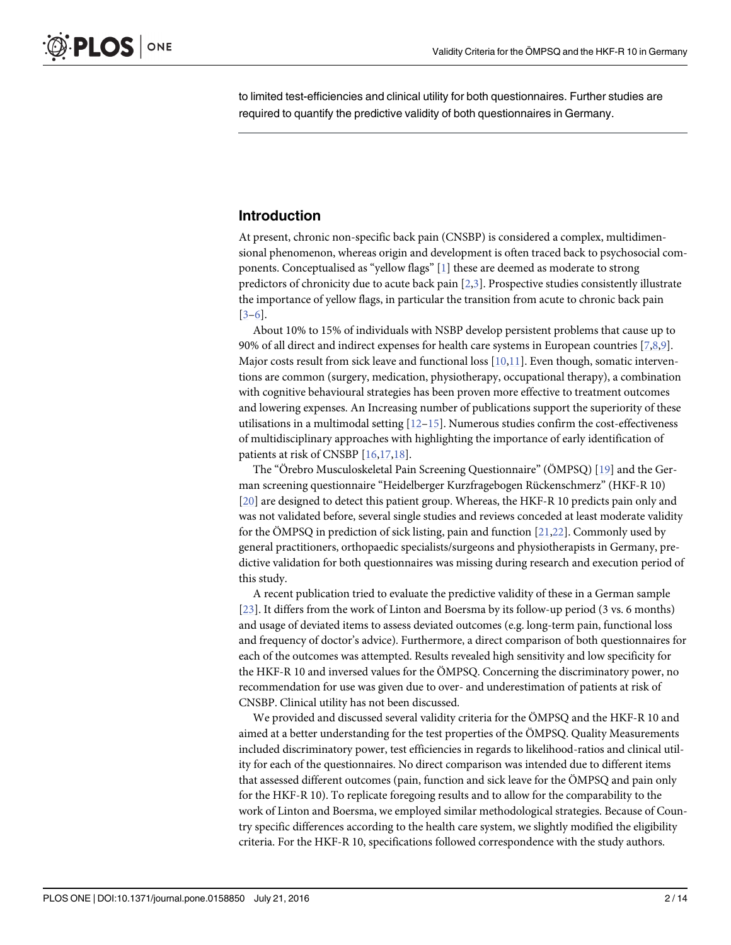<span id="page-1-0"></span>to limited test-efficiencies and clinical utility for both questionnaires. Further studies are required to quantify the predictive validity of both questionnaires in Germany.

### Introduction

At present, chronic non-specific back pain (CNSBP) is considered a complex, multidimensional phenomenon, whereas origin and development is often traced back to psychosocial components. Conceptualised as "yellow flags" [\[1](#page-11-0)] these are deemed as moderate to strong predictors of chronicity due to acute back pain  $[2,3]$  $[2,3]$  $[2,3]$  $[2,3]$  $[2,3]$ . Prospective studies consistently illustrate the importance of yellow flags, in particular the transition from acute to chronic back pain [\[3](#page-11-0)–[6](#page-11-0)].

About 10% to 15% of individuals with NSBP develop persistent problems that cause up to 90% of all direct and indirect expenses for health care systems in European countries [[7](#page-11-0),[8](#page-11-0),[9](#page-11-0)]. Major costs result from sick leave and functional loss  $[10,11]$  $[10,11]$  $[10,11]$ . Even though, somatic interventions are common (surgery, medication, physiotherapy, occupational therapy), a combination with cognitive behavioural strategies has been proven more effective to treatment outcomes and lowering expenses. An Increasing number of publications support the superiority of these utilisations in a multimodal setting  $[12–15]$  $[12–15]$  $[12–15]$  $[12–15]$  $[12–15]$ . Numerous studies confirm the cost-effectiveness of multidisciplinary approaches with highlighting the importance of early identification of patients at risk of CNSBP [\[16,17,18](#page-12-0)].

The "Örebro Musculoskeletal Pain Screening Questionnaire" (ÖMPSQ) [[19](#page-12-0)] and the German screening questionnaire "Heidelberger Kurzfragebogen Rückenschmerz" (HKF-R 10) [\[20](#page-12-0)] are designed to detect this patient group. Whereas, the HKF-R 10 predicts pain only and was not validated before, several single studies and reviews conceded at least moderate validity for the ÖMPSQ in prediction of sick listing, pain and function  $[21,22]$  $[21,22]$ . Commonly used by general practitioners, orthopaedic specialists/surgeons and physiotherapists in Germany, predictive validation for both questionnaires was missing during research and execution period of this study.

A recent publication tried to evaluate the predictive validity of these in a German sample [\[23](#page-12-0)]. It differs from the work of Linton and Boersma by its follow-up period (3 vs. 6 months) and usage of deviated items to assess deviated outcomes (e.g. long-term pain, functional loss and frequency of doctor's advice). Furthermore, a direct comparison of both questionnaires for each of the outcomes was attempted. Results revealed high sensitivity and low specificity for the HKF-R 10 and inversed values for the ÖMPSQ. Concerning the discriminatory power, no recommendation for use was given due to over- and underestimation of patients at risk of CNSBP. Clinical utility has not been discussed.

We provided and discussed several validity criteria for the ÖMPSQ and the HKF-R 10 and aimed at a better understanding for the test properties of the ÖMPSQ. Quality Measurements included discriminatory power, test efficiencies in regards to likelihood-ratios and clinical utility for each of the questionnaires. No direct comparison was intended due to different items that assessed different outcomes (pain, function and sick leave for the ÖMPSQ and pain only for the HKF-R 10). To replicate foregoing results and to allow for the comparability to the work of Linton and Boersma, we employed similar methodological strategies. Because of Country specific differences according to the health care system, we slightly modified the eligibility criteria. For the HKF-R 10, specifications followed correspondence with the study authors.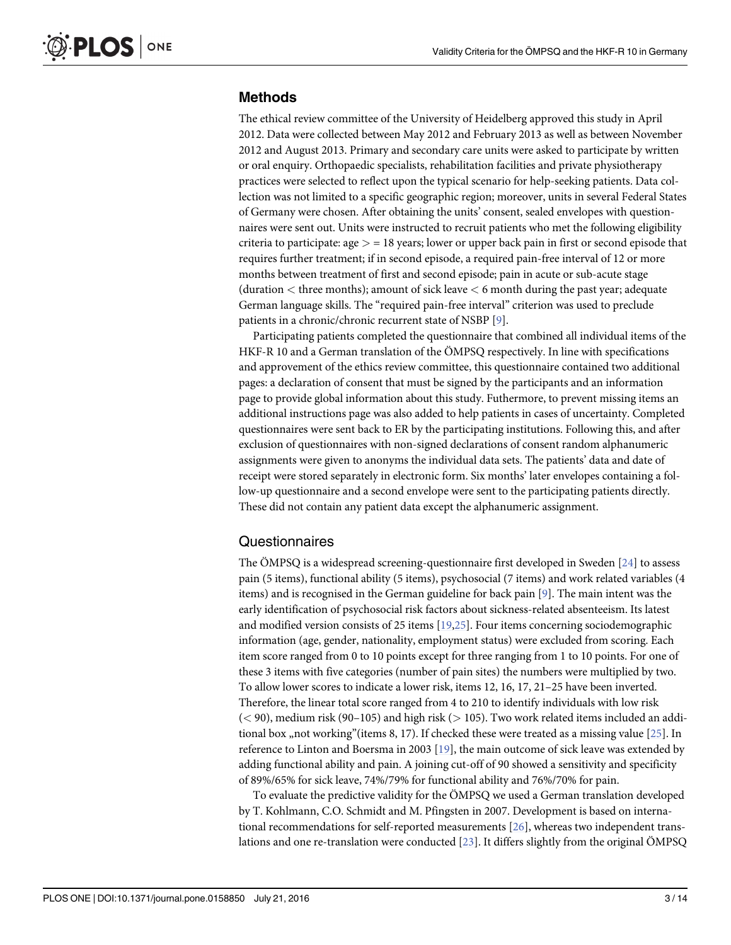### <span id="page-2-0"></span>Methods

The ethical review committee of the University of Heidelberg approved this study in April 2012. Data were collected between May 2012 and February 2013 as well as between November 2012 and August 2013. Primary and secondary care units were asked to participate by written or oral enquiry. Orthopaedic specialists, rehabilitation facilities and private physiotherapy practices were selected to reflect upon the typical scenario for help-seeking patients. Data collection was not limited to a specific geographic region; moreover, units in several Federal States of Germany were chosen. After obtaining the units' consent, sealed envelopes with questionnaires were sent out. Units were instructed to recruit patients who met the following eligibility criteria to participate:  $age > = 18$  years; lower or upper back pain in first or second episode that requires further treatment; if in second episode, a required pain-free interval of 12 or more months between treatment of first and second episode; pain in acute or sub-acute stage (duration < three months); amount of sick leave < 6 month during the past year; adequate German language skills. The "required pain-free interval" criterion was used to preclude patients in a chronic/chronic recurrent state of NSBP [[9](#page-11-0)].

Participating patients completed the questionnaire that combined all individual items of the HKF-R 10 and a German translation of the ÖMPSQ respectively. In line with specifications and approvement of the ethics review committee, this questionnaire contained two additional pages: a declaration of consent that must be signed by the participants and an information page to provide global information about this study. Futhermore, to prevent missing items an additional instructions page was also added to help patients in cases of uncertainty. Completed questionnaires were sent back to ER by the participating institutions. Following this, and after exclusion of questionnaires with non-signed declarations of consent random alphanumeric assignments were given to anonyms the individual data sets. The patients' data and date of receipt were stored separately in electronic form. Six months' later envelopes containing a follow-up questionnaire and a second envelope were sent to the participating patients directly. These did not contain any patient data except the alphanumeric assignment.

### Questionnaires

The ÖMPSQ is a widespread screening-questionnaire first developed in Sweden  $[24]$  to assess pain (5 items), functional ability (5 items), psychosocial (7 items) and work related variables (4 items) and is recognised in the German guideline for back pain [\[9\]](#page-11-0). The main intent was the early identification of psychosocial risk factors about sickness-related absenteeism. Its latest and modified version consists of 25 items [\[19,25](#page-12-0)]. Four items concerning sociodemographic information (age, gender, nationality, employment status) were excluded from scoring. Each item score ranged from 0 to 10 points except for three ranging from 1 to 10 points. For one of these 3 items with five categories (number of pain sites) the numbers were multiplied by two. To allow lower scores to indicate a lower risk, items 12, 16, 17, 21–25 have been inverted. Therefore, the linear total score ranged from 4 to 210 to identify individuals with low risk  $(< 90$ , medium risk (90–105) and high risk ( $> 105$ ). Two work related items included an addi-tional box "not working"(items 8, 17). If checked these were treated as a missing value [[25\]](#page-12-0). In reference to Linton and Boersma in 2003 [\[19\]](#page-12-0), the main outcome of sick leave was extended by adding functional ability and pain. A joining cut-off of 90 showed a sensitivity and specificity of 89%/65% for sick leave, 74%/79% for functional ability and 76%/70% for pain.

To evaluate the predictive validity for the ÖMPSQ we used a German translation developed by T. Kohlmann, C.O. Schmidt and M. Pfingsten in 2007. Development is based on international recommendations for self-reported measurements [[26](#page-12-0)], whereas two independent translations and one re-translation were conducted  $[23]$  $[23]$  $[23]$ . It differs slightly from the original ÖMPSQ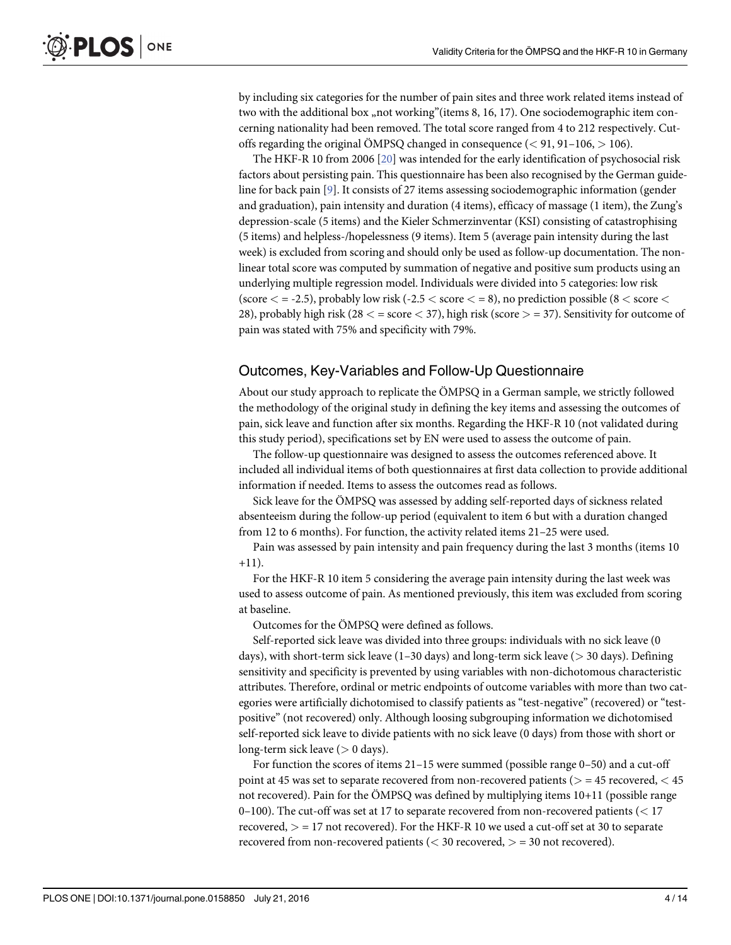by including six categories for the number of pain sites and three work related items instead of two with the additional box "not working"(items 8, 16, 17). One sociodemographic item concerning nationality had been removed. The total score ranged from 4 to 212 respectively. Cutoffs regarding the original ÖMPSQ changed in consequence  $(< 91, 91-106, > 106)$ .

The HKF-R 10 from 2006 [\[20\]](#page-12-0) was intended for the early identification of psychosocial risk factors about persisting pain. This questionnaire has been also recognised by the German guideline for back pain [\[9\]](#page-11-0). It consists of 27 items assessing sociodemographic information (gender and graduation), pain intensity and duration (4 items), efficacy of massage (1 item), the Zung's depression-scale (5 items) and the Kieler Schmerzinventar (KSI) consisting of catastrophising (5 items) and helpless-/hopelessness (9 items). Item 5 (average pain intensity during the last week) is excluded from scoring and should only be used as follow-up documentation. The nonlinear total score was computed by summation of negative and positive sum products using an underlying multiple regression model. Individuals were divided into 5 categories: low risk (score  $\langle$  = -2.5), probably low risk (-2.5  $\langle$  score  $\langle$  = 8), no prediction possible (8  $\langle$  score  $\langle$ 28), probably high risk (28  $<$  = score  $<$  37), high risk (score  $>$  = 37). Sensitivity for outcome of pain was stated with 75% and specificity with 79%.

### Outcomes, Key-Variables and Follow-Up Questionnaire

About our study approach to replicate the ÖMPSQ in a German sample, we strictly followed the methodology of the original study in defining the key items and assessing the outcomes of pain, sick leave and function after six months. Regarding the HKF-R 10 (not validated during this study period), specifications set by EN were used to assess the outcome of pain.

The follow-up questionnaire was designed to assess the outcomes referenced above. It included all individual items of both questionnaires at first data collection to provide additional information if needed. Items to assess the outcomes read as follows.

Sick leave for the ÖMPSQ was assessed by adding self-reported days of sickness related absenteeism during the follow-up period (equivalent to item 6 but with a duration changed from 12 to 6 months). For function, the activity related items 21–25 were used.

Pain was assessed by pain intensity and pain frequency during the last 3 months (items 10  $+11$ ).

For the HKF-R 10 item 5 considering the average pain intensity during the last week was used to assess outcome of pain. As mentioned previously, this item was excluded from scoring at baseline.

Outcomes for the ÖMPSQ were defined as follows.

Self-reported sick leave was divided into three groups: individuals with no sick leave (0 days), with short-term sick leave (1–30 days) and long-term sick leave (> 30 days). Defining sensitivity and specificity is prevented by using variables with non-dichotomous characteristic attributes. Therefore, ordinal or metric endpoints of outcome variables with more than two categories were artificially dichotomised to classify patients as "test-negative" (recovered) or "testpositive" (not recovered) only. Although loosing subgrouping information we dichotomised self-reported sick leave to divide patients with no sick leave (0 days) from those with short or long-term sick leave  $(> 0 \text{ days})$ .

For function the scores of items 21–15 were summed (possible range 0–50) and a cut-off point at 45 was set to separate recovered from non-recovered patients ( $>$  = 45 recovered,  $<$  45 not recovered). Pain for the ÖMPSQ was defined by multiplying items 10+11 (possible range 0–100). The cut-off was set at 17 to separate recovered from non-recovered patients (< 17 recovered,  $>$  = 17 not recovered). For the HKF-R 10 we used a cut-off set at 30 to separate recovered from non-recovered patients ( $<$  30 recovered,  $>$  = 30 not recovered).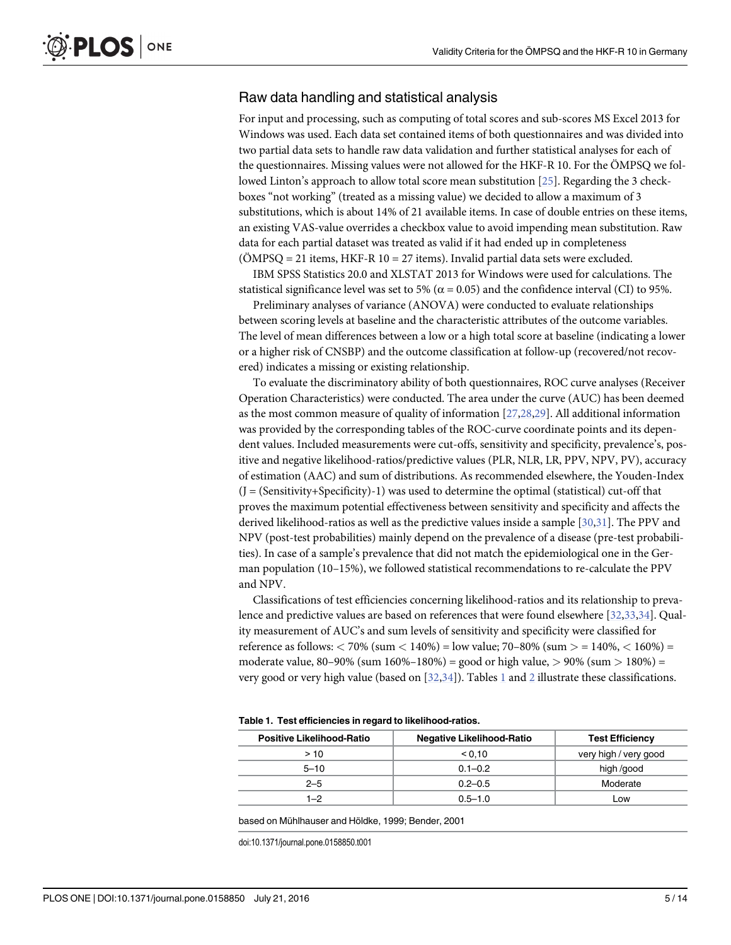### <span id="page-4-0"></span>Raw data handling and statistical analysis

For input and processing, such as computing of total scores and sub-scores MS Excel 2013 for Windows was used. Each data set contained items of both questionnaires and was divided into two partial data sets to handle raw data validation and further statistical analyses for each of the questionnaires. Missing values were not allowed for the HKF-R 10. For the ÖMPSQ we followed Linton's approach to allow total score mean substitution [\[25\]](#page-12-0). Regarding the 3 checkboxes "not working" (treated as a missing value) we decided to allow a maximum of 3 substitutions, which is about 14% of 21 available items. In case of double entries on these items, an existing VAS-value overrides a checkbox value to avoid impending mean substitution. Raw data for each partial dataset was treated as valid if it had ended up in completeness  $(OMPSQ = 21$  items, HKF-R  $10 = 27$  items). Invalid partial data sets were excluded.

IBM SPSS Statistics 20.0 and XLSTAT 2013 for Windows were used for calculations. The statistical significance level was set to 5% ( $\alpha$  = 0.05) and the confidence interval (CI) to 95%.

Preliminary analyses of variance (ANOVA) were conducted to evaluate relationships between scoring levels at baseline and the characteristic attributes of the outcome variables. The level of mean differences between a low or a high total score at baseline (indicating a lower or a higher risk of CNSBP) and the outcome classification at follow-up (recovered/not recovered) indicates a missing or existing relationship.

To evaluate the discriminatory ability of both questionnaires, ROC curve analyses (Receiver Operation Characteristics) were conducted. The area under the curve (AUC) has been deemed as the most common measure of quality of information [\[27,28,29](#page-12-0)]. All additional information was provided by the corresponding tables of the ROC-curve coordinate points and its dependent values. Included measurements were cut-offs, sensitivity and specificity, prevalence's, positive and negative likelihood-ratios/predictive values (PLR, NLR, LR, PPV, NPV, PV), accuracy of estimation (AAC) and sum of distributions. As recommended elsewhere, the Youden-Index  $(J = (Sensitivity+Specificity)-1)$  was used to determine the optimal (statistical) cut-off that proves the maximum potential effectiveness between sensitivity and specificity and affects the derived likelihood-ratios as well as the predictive values inside a sample [\[30,31\]](#page-12-0). The PPV and NPV (post-test probabilities) mainly depend on the prevalence of a disease (pre-test probabilities). In case of a sample's prevalence that did not match the epidemiological one in the German population (10–15%), we followed statistical recommendations to re-calculate the PPV and NPV.

Classifications of test efficiencies concerning likelihood-ratios and its relationship to prevalence and predictive values are based on references that were found elsewhere [\[32,33,34](#page-12-0)]. Quality measurement of AUC's and sum levels of sensitivity and specificity were classified for reference as follows:  $\langle 70\% \text{ (sum} < 140\%) = \text{low value}$ ; 70–80% (sum  $> 140\%$ ,  $< 160\%$ ) = moderate value, 80–90% (sum 160%–180%) = good or high value,  $> 90\%$  (sum  $> 180\%$ ) = very good or very high value (based on [\[32,34\]](#page-12-0)). Tables 1 and [2](#page-5-0) illustrate these classifications.

|  | Table 1. Test efficiencies in regard to likelihood-ratios. |
|--|------------------------------------------------------------|
|--|------------------------------------------------------------|

| <b>Positive Likelihood-Ratio</b> | <b>Negative Likelihood-Ratio</b> | <b>Test Efficiency</b> |
|----------------------------------|----------------------------------|------------------------|
| >10                              | 0.10                             | very high / very good  |
| $5 - 10$                         | $0.1 - 0.2$                      | high /good             |
| $2 - 5$                          | $0.2 - 0.5$                      | Moderate               |
| $1 - 2$                          | $0.5 - 1.0$                      | LOW                    |

based on Mühlhauser and Höldke, 1999; Bender, 2001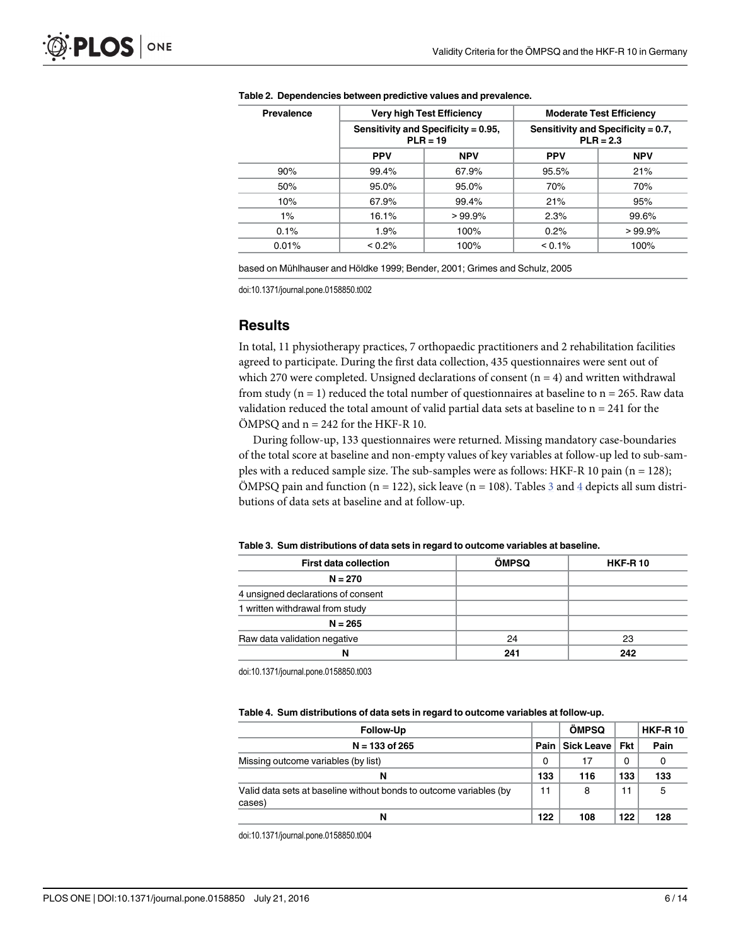| <b>Prevalence</b> |                                                   | <b>Very high Test Efficiency</b> | <b>Moderate Test Efficiency</b>                   |            |  |  |
|-------------------|---------------------------------------------------|----------------------------------|---------------------------------------------------|------------|--|--|
|                   | Sensitivity and Specificity = 0.95,<br>$PLR = 19$ |                                  | Sensitivity and Specificity = 0.7,<br>$PLR = 2.3$ |            |  |  |
|                   | <b>PPV</b>                                        | <b>NPV</b>                       | <b>PPV</b>                                        | <b>NPV</b> |  |  |
| 90%               | 99.4%                                             | 67.9%                            | 95.5%                                             | 21%        |  |  |
| 50%               | 95.0%                                             | 95.0%                            |                                                   | 70%        |  |  |
| 10%               | 67.9%                                             | 99.4%                            | 21%                                               | 95%        |  |  |
| $1\%$             | 16.1%                                             | $>99.9\%$                        | 2.3%                                              | 99.6%      |  |  |
| 0.1%              | 1.9%                                              | 100%                             | 0.2%                                              | >99.9%     |  |  |
| 0.01%             | $< 0.2\%$                                         | 100%                             | $< 0.1\%$                                         | 100%       |  |  |

#### <span id="page-5-0"></span>[Table 2.](#page-4-0) Dependencies between predictive values and prevalence.

based on Mühlhauser and Höldke 1999; Bender, 2001; Grimes and Schulz, 2005

doi:10.1371/journal.pone.0158850.t002

### **Results**

In total, 11 physiotherapy practices, 7 orthopaedic practitioners and 2 rehabilitation facilities agreed to participate. During the first data collection, 435 questionnaires were sent out of which 270 were completed. Unsigned declarations of consent  $(n = 4)$  and written withdrawal from study ( $n = 1$ ) reduced the total number of questionnaires at baseline to  $n = 265$ . Raw data validation reduced the total amount of valid partial data sets at baseline to  $n = 241$  for the  $\ddot{O}MPSQ$  and  $n = 242$  for the HKF-R 10.

During follow-up, 133 questionnaires were returned. Missing mandatory case-boundaries of the total score at baseline and non-empty values of key variables at follow-up led to sub-samples with a reduced sample size. The sub-samples were as follows: HKF-R 10 pain ( $n = 128$ ); ÖMPSQ pain and function (n = 122), sick leave (n = 108). Tables  $\frac{3}{2}$  and  $\frac{4}{2}$  depicts all sum distributions of data sets at baseline and at follow-up.

#### Table 3. Sum distributions of data sets in regard to outcome variables at baseline.

| <b>First data collection</b>       | <b>ÖMPSQ</b> | <b>HKF-R10</b> |
|------------------------------------|--------------|----------------|
| $N = 270$                          |              |                |
| 4 unsigned declarations of consent |              |                |
| 1 written withdrawal from study    |              |                |
| $N = 265$                          |              |                |
| Raw data validation negative       | 24           | 23             |
| N                                  | 241          | 242            |
|                                    |              |                |

doi:10.1371/journal.pone.0158850.t003

#### Table 4. Sum distributions of data sets in regard to outcome variables at follow-up.

| <b>Follow-Up</b>                                                             |      | <b>ÖMPSQ</b>     |     | <b>HKF-R10</b> |  |
|------------------------------------------------------------------------------|------|------------------|-----|----------------|--|
| $N = 133$ of 265                                                             | Pain | Sick Leave   Fkt |     | Pain           |  |
| Missing outcome variables (by list)                                          | 0    | 17               | 0   | 0              |  |
| N                                                                            | 133  | 116              | 133 | 133            |  |
| Valid data sets at baseline without bonds to outcome variables (by<br>cases) | 11   | 8                | 11  | 5              |  |
| N                                                                            | 122  | 108              | 122 | 128            |  |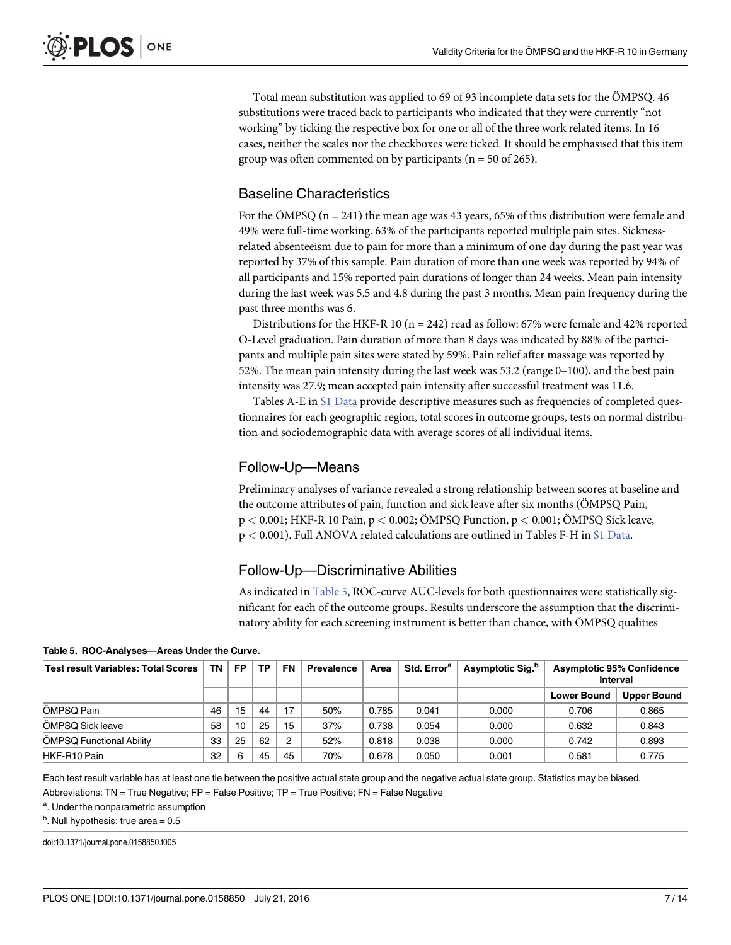Total mean substitution was applied to 69 of 93 incomplete data sets for the ÖMPSQ. 46 substitutions were traced back to participants who indicated that they were currently "not working" by ticking the respective box for one or all of the three work related items. In 16 cases, neither the scales nor the checkboxes were ticked. It should be emphasised that this item group was often commented on by participants ( $n = 50$  of 265).

### Baseline Characteristics

For the ÖMPSQ ( $n = 241$ ) the mean age was 43 years, 65% of this distribution were female and 49% were full-time working. 63% of the participants reported multiple pain sites. Sicknessrelated absenteeism due to pain for more than a minimum of one day during the past year was reported by 37% of this sample. Pain duration of more than one week was reported by 94% of all participants and 15% reported pain durations of longer than 24 weeks. Mean pain intensity during the last week was 5.5 and 4.8 during the past 3 months. Mean pain frequency during the past three months was 6.

Distributions for the HKF-R 10 ( $n = 242$ ) read as follow: 67% were female and 42% reported O-Level graduation. Pain duration of more than 8 days was indicated by 88% of the participants and multiple pain sites were stated by 59%. Pain relief after massage was reported by 52%. The mean pain intensity during the last week was 53.2 (range 0–100), and the best pain intensity was 27.9; mean accepted pain intensity after successful treatment was 11.6.

Tables A-E in [S1 Data](#page-10-0) provide descriptive measures such as frequencies of completed questionnaires for each geographic region, total scores in outcome groups, tests on normal distribution and sociodemographic data with average scores of all individual items.

### Follow-Up—Means

Preliminary analyses of variance revealed a strong relationship between scores at baseline and the outcome attributes of pain, function and sick leave after six months (ÖMPSQ Pain, p < 0.001; HKF-R 10 Pain, p < 0.002; ÖMPSQ Function, p < 0.001; ÖMPSQ Sick leave, p < 0.001). Full ANOVA related calculations are outlined in Tables F-H in [S1 Data](#page-10-0).

### Follow-Up—Discriminative Abilities

As indicated in Table 5, ROC-curve AUC-levels for both questionnaires were statistically significant for each of the outcome groups. Results underscore the assumption that the discriminatory ability for each screening instrument is better than chance, with ÖMPSQ qualities

| <b>Test result Variables: Total Scores</b> | TN | <b>FP</b> | TP. | <b>FN</b>      | Prevalence | Area  | Std. Error <sup>a</sup> | Asymptotic Sig. <sup>b</sup> | <b>Asymptotic 95% Confidence</b><br>Interval |                    |
|--------------------------------------------|----|-----------|-----|----------------|------------|-------|-------------------------|------------------------------|----------------------------------------------|--------------------|
|                                            |    |           |     |                |            |       |                         |                              | <b>Lower Bound</b>                           | <b>Upper Bound</b> |
| ÖMPSQ Pain                                 | 46 | 15        | 44  | 17             | 50%        | 0.785 | 0.041                   | 0.000                        | 0.706                                        | 0.865              |
| ÖMPSQ Sick leave                           | 58 | 10        | 25  | 15             | 37%        | 0.738 | 0.054                   | 0.000                        | 0.632                                        | 0.843              |
| ÖMPSQ Functional Ability                   | 33 | 25        | 62  | $\overline{2}$ | 52%        | 0.818 | 0.038                   | 0.000                        | 0.742                                        | 0.893              |
| HKF-R10 Pain                               | 32 | 6         | 45  | 45             | 70%        | 0.678 | 0.050                   | 0.001                        | 0.581                                        | 0.775              |

Table 5. ROC-Analyses—Areas Under the Curve.

Each test result variable has at least one tie between the positive actual state group and the negative actual state group. Statistics may be biased.

Abbreviations: TN = True Negative; FP = False Positive; TP = True Positive; FN = False Negative

<sup>a</sup>. Under the nonparametric assumption

 $<sup>b</sup>$ . Null hypothesis: true area = 0.5</sup>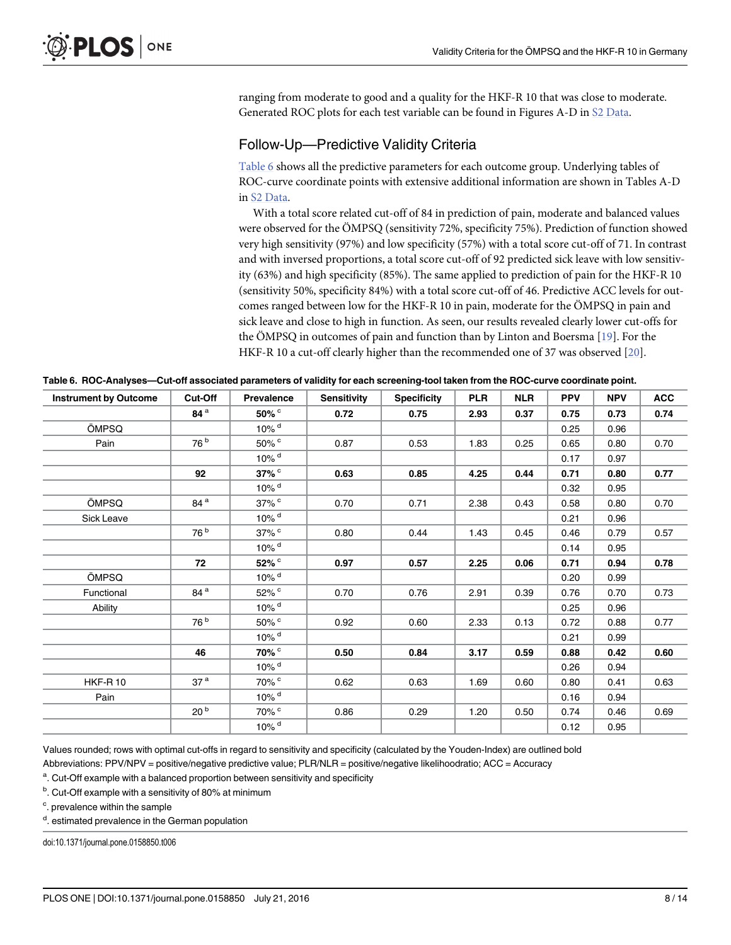<span id="page-7-0"></span>ranging from moderate to good and a quality for the HKF-R 10 that was close to moderate. Generated ROC plots for each test variable can be found in Figures A-D in [S2 Data.](#page-11-0)

### Follow-Up—Predictive Validity Criteria

Table 6 shows all the predictive parameters for each outcome group. Underlying tables of ROC-curve coordinate points with extensive additional information are shown in Tables A-D in [S2 Data](#page-11-0).

With a total score related cut-off of 84 in prediction of pain, moderate and balanced values were observed for the ÖMPSQ (sensitivity 72%, specificity 75%). Prediction of function showed very high sensitivity (97%) and low specificity (57%) with a total score cut-off of 71. In contrast and with inversed proportions, a total score cut-off of 92 predicted sick leave with low sensitivity (63%) and high specificity (85%). The same applied to prediction of pain for the HKF-R 10 (sensitivity 50%, specificity 84%) with a total score cut-off of 46. Predictive ACC levels for outcomes ranged between low for the HKF-R 10 in pain, moderate for the ÖMPSQ in pain and sick leave and close to high in function. As seen, our results revealed clearly lower cut-offs for the ÖMPSQ in outcomes of pain and function than by Linton and Boersma [[19](#page-12-0)]. For the HKF-R 10 a cut-off clearly higher than the recommended one of 37 was observed [\[20\]](#page-12-0).

| <b>Instrument by Outcome</b> | Cut-Off         | <b>Prevalence</b>   | <b>Sensitivity</b> | <b>Specificity</b> | <b>PLR</b> | <b>NLR</b> | <b>PPV</b> | <b>NPV</b> | <b>ACC</b> |
|------------------------------|-----------------|---------------------|--------------------|--------------------|------------|------------|------------|------------|------------|
|                              | 84 <sup>a</sup> | 50% °               | 0.72               | 0.75               | 2.93       | 0.37       | 0.75       | 0.73       | 0.74       |
| ÖMPSQ                        |                 | $10\%$ <sup>d</sup> |                    |                    |            |            | 0.25       | 0.96       |            |
| Pain                         | 76 b            | 50% <sup>c</sup>    | 0.87               | 0.53               | 1.83       | 0.25       | 0.65       | 0.80       | 0.70       |
|                              |                 | 10% <sup>d</sup>    |                    |                    |            |            | 0.17       | 0.97       |            |
|                              | 92              | $37\%$              | 0.63               | 0.85               | 4.25       | 0.44       | 0.71       | 0.80       | 0.77       |
|                              |                 | 10% <sup>d</sup>    |                    |                    |            |            | 0.32       | 0.95       |            |
| ÖMPSQ                        | 84 <sup>a</sup> | 37% c               | 0.70               | 0.71               | 2.38       | 0.43       | 0.58       | 0.80       | 0.70       |
| Sick Leave                   |                 | 10% <sup>d</sup>    |                    |                    |            |            | 0.21       | 0.96       |            |
|                              | 76 b            | 37% c               | 0.80               | 0.44               | 1.43       | 0.45       | 0.46       | 0.79       | 0.57       |
|                              |                 | $10\%$ <sup>d</sup> |                    |                    |            |            | 0.14       | 0.95       |            |
|                              | 72              | 52% c               | 0.97               | 0.57               | 2.25       | 0.06       | 0.71       | 0.94       | 0.78       |
| ÖMPSQ                        |                 | $10\%$ <sup>d</sup> |                    |                    |            |            | 0.20       | 0.99       |            |
| Functional                   | 84 <sup>a</sup> | 52% c               | 0.70               | 0.76               | 2.91       | 0.39       | 0.76       | 0.70       | 0.73       |
| Ability                      |                 | $10\%$ <sup>d</sup> |                    |                    |            |            | 0.25       | 0.96       |            |
|                              | 76 <sup>b</sup> | 50% c               | 0.92               | 0.60               | 2.33       | 0.13       | 0.72       | 0.88       | 0.77       |
|                              |                 | $10\%$ <sup>d</sup> |                    |                    |            |            | 0.21       | 0.99       |            |
|                              | 46              | 70% c               | 0.50               | 0.84               | 3.17       | 0.59       | 0.88       | 0.42       | 0.60       |
|                              |                 | $10\%$ <sup>d</sup> |                    |                    |            |            | 0.26       | 0.94       |            |
| <b>HKF-R10</b>               | 37 <sup>a</sup> | 70% c               | 0.62               | 0.63               | 1.69       | 0.60       | 0.80       | 0.41       | 0.63       |
| Pain                         |                 | 10% <sup>d</sup>    |                    |                    |            |            | 0.16       | 0.94       |            |
|                              | 20 <sup>b</sup> | 70% <sup>c</sup>    | 0.86               | 0.29               | 1.20       | 0.50       | 0.74       | 0.46       | 0.69       |
|                              |                 | 10% <sup>d</sup>    |                    |                    |            |            | 0.12       | 0.95       |            |

Table 6. ROC-Analyses—Cut-off associated parameters of validity for each screening-tool taken from the ROC-curve coordinate point.

Values rounded; rows with optimal cut-offs in regard to sensitivity and specificity (calculated by the Youden-Index) are outlined bold

Abbreviations: PPV/NPV = positive/negative predictive value; PLR/NLR = positive/negative likelihoodratio; ACC = Accuracy

<sup>a</sup>. Cut-Off example with a balanced proportion between sensitivity and specificity

<sup>b</sup>. Cut-Off example with a sensitivity of 80% at minimum

<sup>c</sup>. prevalence within the sample

<sup>d</sup>. estimated prevalence in the German population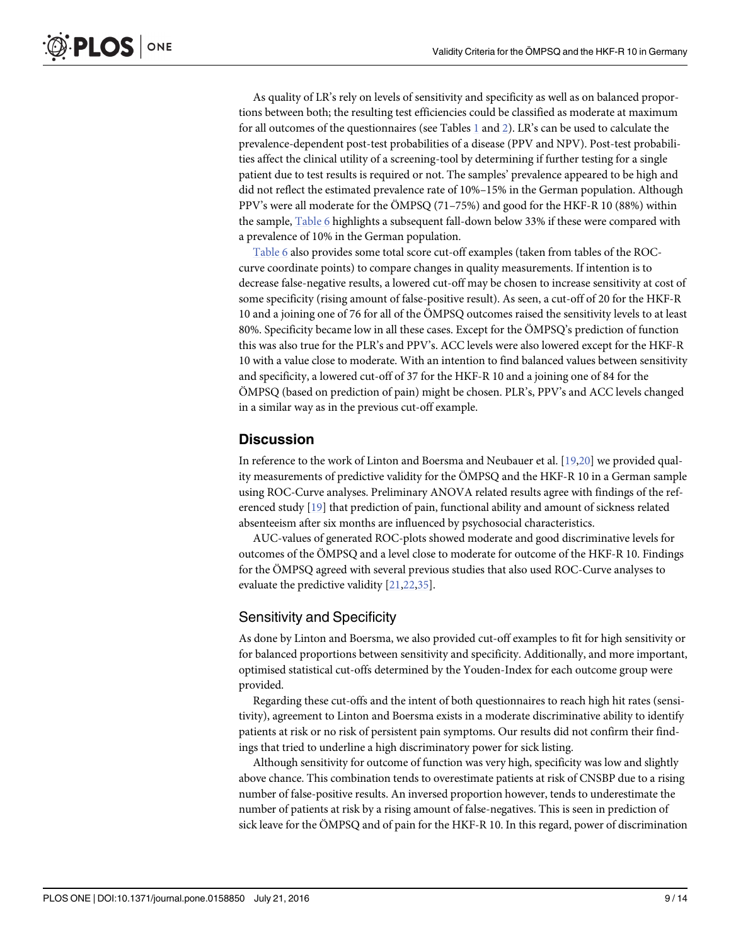<span id="page-8-0"></span>As quality of LR's rely on levels of sensitivity and specificity as well as on balanced proportions between both; the resulting test efficiencies could be classified as moderate at maximum for all outcomes of the questionnaires (see Tables  $1$  and  $2$ ). LR's can be used to calculate the prevalence-dependent post-test probabilities of a disease (PPV and NPV). Post-test probabilities affect the clinical utility of a screening-tool by determining if further testing for a single patient due to test results is required or not. The samples' prevalence appeared to be high and did not reflect the estimated prevalence rate of 10%–15% in the German population. Although PPV's were all moderate for the ÖMPSQ (71–75%) and good for the HKF-R 10 (88%) within the sample, [Table 6](#page-7-0) highlights a subsequent fall-down below 33% if these were compared with a prevalence of 10% in the German population.

[Table 6](#page-7-0) also provides some total score cut-off examples (taken from tables of the ROCcurve coordinate points) to compare changes in quality measurements. If intention is to decrease false-negative results, a lowered cut-off may be chosen to increase sensitivity at cost of some specificity (rising amount of false-positive result). As seen, a cut-off of 20 for the HKF-R 10 and a joining one of 76 for all of the ÖMPSQ outcomes raised the sensitivity levels to at least 80%. Specificity became low in all these cases. Except for the ÖMPSQ's prediction of function this was also true for the PLR's and PPV's. ACC levels were also lowered except for the HKF-R 10 with a value close to moderate. With an intention to find balanced values between sensitivity and specificity, a lowered cut-off of 37 for the HKF-R 10 and a joining one of 84 for the ÖMPSQ (based on prediction of pain) might be chosen. PLR's, PPV's and ACC levels changed in a similar way as in the previous cut-off example.

### **Discussion**

In reference to the work of Linton and Boersma and Neubauer et al. [\[19,20\]](#page-12-0) we provided quality measurements of predictive validity for the ÖMPSQ and the HKF-R 10 in a German sample using ROC-Curve analyses. Preliminary ANOVA related results agree with findings of the referenced study [[19](#page-12-0)] that prediction of pain, functional ability and amount of sickness related absenteeism after six months are influenced by psychosocial characteristics.

AUC-values of generated ROC-plots showed moderate and good discriminative levels for outcomes of the ÖMPSQ and a level close to moderate for outcome of the HKF-R 10. Findings for the ÖMPSQ agreed with several previous studies that also used ROC-Curve analyses to evaluate the predictive validity [\[21,22](#page-12-0),[35](#page-12-0)].

### Sensitivity and Specificity

As done by Linton and Boersma, we also provided cut-off examples to fit for high sensitivity or for balanced proportions between sensitivity and specificity. Additionally, and more important, optimised statistical cut-offs determined by the Youden-Index for each outcome group were provided.

Regarding these cut-offs and the intent of both questionnaires to reach high hit rates (sensitivity), agreement to Linton and Boersma exists in a moderate discriminative ability to identify patients at risk or no risk of persistent pain symptoms. Our results did not confirm their findings that tried to underline a high discriminatory power for sick listing.

Although sensitivity for outcome of function was very high, specificity was low and slightly above chance. This combination tends to overestimate patients at risk of CNSBP due to a rising number of false-positive results. An inversed proportion however, tends to underestimate the number of patients at risk by a rising amount of false-negatives. This is seen in prediction of sick leave for the ÖMPSQ and of pain for the HKF-R 10. In this regard, power of discrimination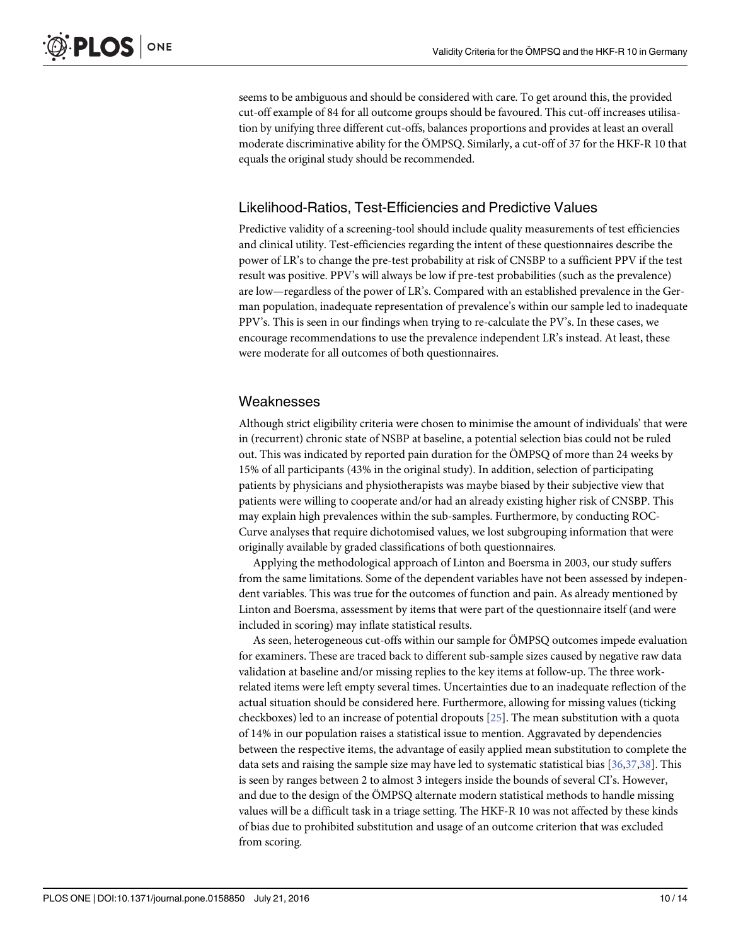<span id="page-9-0"></span>seems to be ambiguous and should be considered with care. To get around this, the provided cut-off example of 84 for all outcome groups should be favoured. This cut-off increases utilisation by unifying three different cut-offs, balances proportions and provides at least an overall moderate discriminative ability for the ÖMPSQ. Similarly, a cut-off of 37 for the HKF-R 10 that equals the original study should be recommended.

### Likelihood-Ratios, Test-Efficiencies and Predictive Values

Predictive validity of a screening-tool should include quality measurements of test efficiencies and clinical utility. Test-efficiencies regarding the intent of these questionnaires describe the power of LR's to change the pre-test probability at risk of CNSBP to a sufficient PPV if the test result was positive. PPV's will always be low if pre-test probabilities (such as the prevalence) are low—regardless of the power of LR's. Compared with an established prevalence in the German population, inadequate representation of prevalence's within our sample led to inadequate PPV's. This is seen in our findings when trying to re-calculate the PV's. In these cases, we encourage recommendations to use the prevalence independent LR's instead. At least, these were moderate for all outcomes of both questionnaires.

### Weaknesses

Although strict eligibility criteria were chosen to minimise the amount of individuals' that were in (recurrent) chronic state of NSBP at baseline, a potential selection bias could not be ruled out. This was indicated by reported pain duration for the ÖMPSQ of more than 24 weeks by 15% of all participants (43% in the original study). In addition, selection of participating patients by physicians and physiotherapists was maybe biased by their subjective view that patients were willing to cooperate and/or had an already existing higher risk of CNSBP. This may explain high prevalences within the sub-samples. Furthermore, by conducting ROC-Curve analyses that require dichotomised values, we lost subgrouping information that were originally available by graded classifications of both questionnaires.

Applying the methodological approach of Linton and Boersma in 2003, our study suffers from the same limitations. Some of the dependent variables have not been assessed by independent variables. This was true for the outcomes of function and pain. As already mentioned by Linton and Boersma, assessment by items that were part of the questionnaire itself (and were included in scoring) may inflate statistical results.

As seen, heterogeneous cut-offs within our sample for ÖMPSQ outcomes impede evaluation for examiners. These are traced back to different sub-sample sizes caused by negative raw data validation at baseline and/or missing replies to the key items at follow-up. The three workrelated items were left empty several times. Uncertainties due to an inadequate reflection of the actual situation should be considered here. Furthermore, allowing for missing values (ticking checkboxes) led to an increase of potential dropouts [[25](#page-12-0)]. The mean substitution with a quota of 14% in our population raises a statistical issue to mention. Aggravated by dependencies between the respective items, the advantage of easily applied mean substitution to complete the data sets and raising the sample size may have led to systematic statistical bias [\[36](#page-12-0)[,37,38](#page-13-0)]. This is seen by ranges between 2 to almost 3 integers inside the bounds of several CI's. However, and due to the design of the ÖMPSQ alternate modern statistical methods to handle missing values will be a difficult task in a triage setting. The HKF-R 10 was not affected by these kinds of bias due to prohibited substitution and usage of an outcome criterion that was excluded from scoring.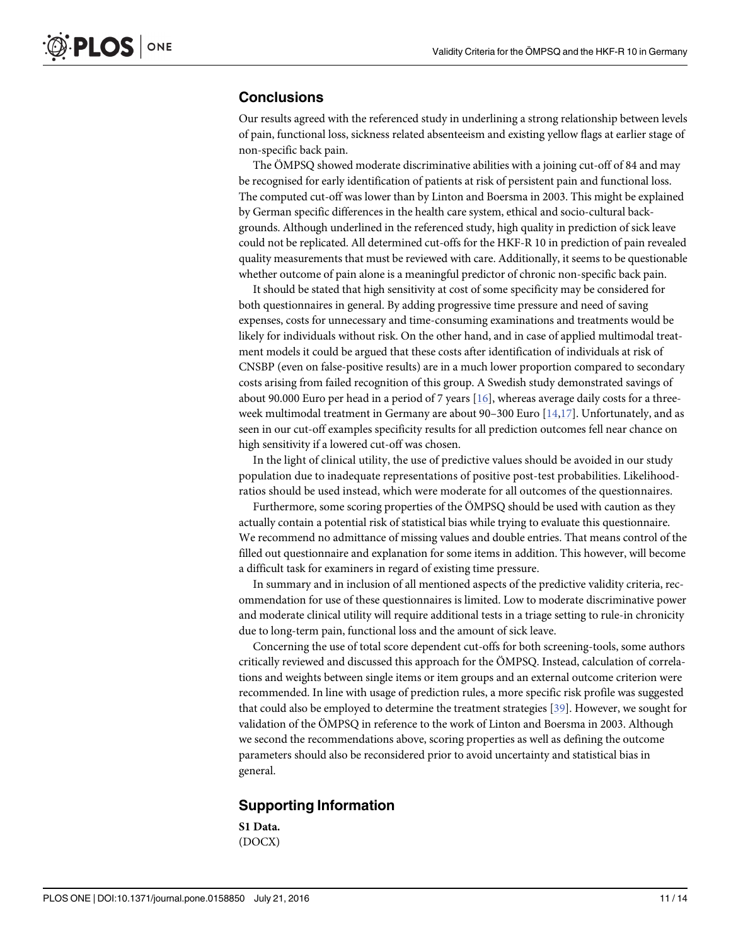### <span id="page-10-0"></span>**Conclusions**

Our results agreed with the referenced study in underlining a strong relationship between levels of pain, functional loss, sickness related absenteeism and existing yellow flags at earlier stage of non-specific back pain.

The ÖMPSQ showed moderate discriminative abilities with a joining cut-off of 84 and may be recognised for early identification of patients at risk of persistent pain and functional loss. The computed cut-off was lower than by Linton and Boersma in 2003. This might be explained by German specific differences in the health care system, ethical and socio-cultural backgrounds. Although underlined in the referenced study, high quality in prediction of sick leave could not be replicated. All determined cut-offs for the HKF-R 10 in prediction of pain revealed quality measurements that must be reviewed with care. Additionally, it seems to be questionable whether outcome of pain alone is a meaningful predictor of chronic non-specific back pain.

It should be stated that high sensitivity at cost of some specificity may be considered for both questionnaires in general. By adding progressive time pressure and need of saving expenses, costs for unnecessary and time-consuming examinations and treatments would be likely for individuals without risk. On the other hand, and in case of applied multimodal treatment models it could be argued that these costs after identification of individuals at risk of CNSBP (even on false-positive results) are in a much lower proportion compared to secondary costs arising from failed recognition of this group. A Swedish study demonstrated savings of about 90.000 Euro per head in a period of 7 years  $[16]$  $[16]$ , whereas average daily costs for a threeweek multimodal treatment in Germany are about 90–300 Euro  $[14,17]$  $[14,17]$  $[14,17]$  $[14,17]$  $[14,17]$ . Unfortunately, and as seen in our cut-off examples specificity results for all prediction outcomes fell near chance on high sensitivity if a lowered cut-off was chosen.

In the light of clinical utility, the use of predictive values should be avoided in our study population due to inadequate representations of positive post-test probabilities. Likelihoodratios should be used instead, which were moderate for all outcomes of the questionnaires.

Furthermore, some scoring properties of the ÖMPSQ should be used with caution as they actually contain a potential risk of statistical bias while trying to evaluate this questionnaire. We recommend no admittance of missing values and double entries. That means control of the filled out questionnaire and explanation for some items in addition. This however, will become a difficult task for examiners in regard of existing time pressure.

In summary and in inclusion of all mentioned aspects of the predictive validity criteria, recommendation for use of these questionnaires is limited. Low to moderate discriminative power and moderate clinical utility will require additional tests in a triage setting to rule-in chronicity due to long-term pain, functional loss and the amount of sick leave.

Concerning the use of total score dependent cut-offs for both screening-tools, some authors critically reviewed and discussed this approach for the ÖMPSQ. Instead, calculation of correlations and weights between single items or item groups and an external outcome criterion were recommended. In line with usage of prediction rules, a more specific risk profile was suggested that could also be employed to determine the treatment strategies [\[39\]](#page-13-0). However, we sought for validation of the ÖMPSQ in reference to the work of Linton and Boersma in 2003. Although we second the recommendations above, scoring properties as well as defining the outcome parameters should also be reconsidered prior to avoid uncertainty and statistical bias in general.

### Supporting Information

[S1 Data](http://www.plosone.org/article/fetchSingleRepresentation.action?uri=info:doi/10.1371/journal.pone.0158850.s001). (DOCX)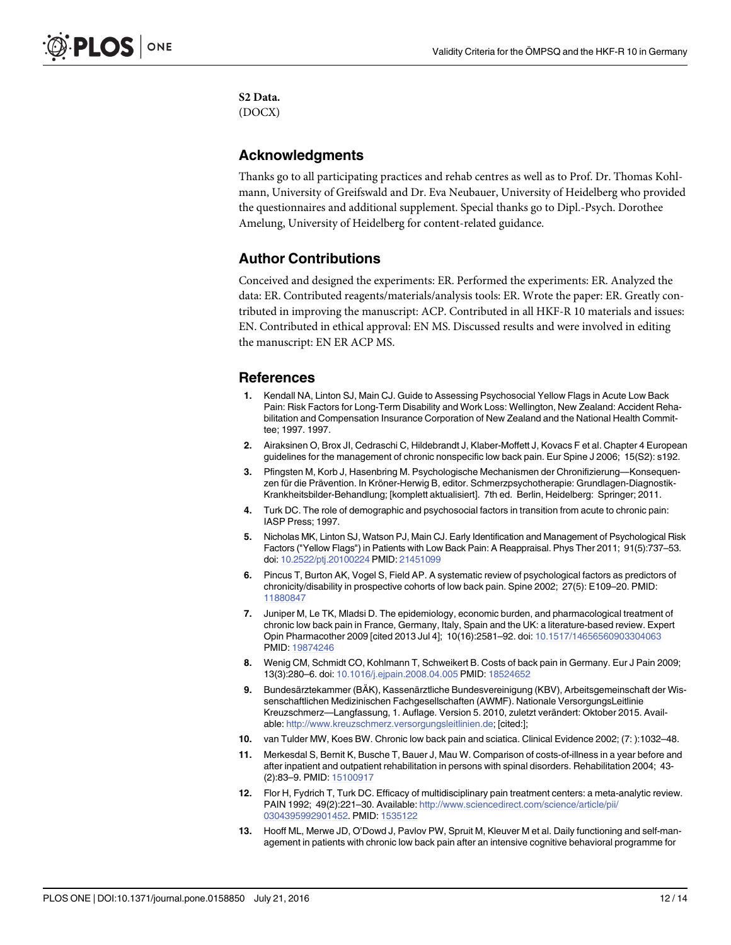<span id="page-11-0"></span>[S2 Data](http://www.plosone.org/article/fetchSingleRepresentation.action?uri=info:doi/10.1371/journal.pone.0158850.s002). (DOCX)

### Acknowledgments

Thanks go to all participating practices and rehab centres as well as to Prof. Dr. Thomas Kohlmann, University of Greifswald and Dr. Eva Neubauer, University of Heidelberg who provided the questionnaires and additional supplement. Special thanks go to Dipl.-Psych. Dorothee Amelung, University of Heidelberg for content-related guidance.

### Author Contributions

Conceived and designed the experiments: ER. Performed the experiments: ER. Analyzed the data: ER. Contributed reagents/materials/analysis tools: ER. Wrote the paper: ER. Greatly contributed in improving the manuscript: ACP. Contributed in all HKF-R 10 materials and issues: EN. Contributed in ethical approval: EN MS. Discussed results and were involved in editing the manuscript: EN ER ACP MS.

### References

- [1.](#page-1-0) Kendall NA, Linton SJ, Main CJ. Guide to Assessing Psychosocial Yellow Flags in Acute Low Back Pain: Risk Factors for Long-Term Disability and Work Loss: Wellington, New Zealand: Accident Rehabilitation and Compensation Insurance Corporation of New Zealand and the National Health Committee; 1997. 1997.
- [2.](#page-1-0) Airaksinen O, Brox JI, Cedraschi C, Hildebrandt J, Klaber-Moffett J, Kovacs F et al. Chapter 4 European guidelines for the management of chronic nonspecific low back pain. Eur Spine J 2006; 15(S2): s192.
- [3.](#page-1-0) Pfingsten M, Korb J, Hasenbring M. Psychologische Mechanismen der Chronifizierung—Konsequenzen für die Prävention. In Kröner-Herwig B, editor. Schmerzpsychotherapie: Grundlagen-Diagnostik-Krankheitsbilder-Behandlung; [komplett aktualisiert]. 7th ed. Berlin, Heidelberg: Springer; 2011.
- 4. Turk DC. The role of demographic and psychosocial factors in transition from acute to chronic pain: IASP Press; 1997.
- 5. Nicholas MK, Linton SJ, Watson PJ, Main CJ. Early Identification and Management of Psychological Risk Factors ("Yellow Flags") in Patients with Low Back Pain: A Reappraisal. Phys Ther 2011; 91(5):737–53. doi: [10.2522/ptj.20100224](http://dx.doi.org/10.2522/ptj.20100224) PMID: [21451099](http://www.ncbi.nlm.nih.gov/pubmed/21451099)
- [6.](#page-1-0) Pincus T, Burton AK, Vogel S, Field AP. A systematic review of psychological factors as predictors of chronicity/disability in prospective cohorts of low back pain. Spine 2002; 27(5): E109–20. PMID: [11880847](http://www.ncbi.nlm.nih.gov/pubmed/11880847)
- [7.](#page-1-0) Juniper M, Le TK, Mladsi D. The epidemiology, economic burden, and pharmacological treatment of chronic low back pain in France, Germany, Italy, Spain and the UK: a literature-based review. Expert Opin Pharmacother 2009 [cited 2013 Jul 4]; 10(16):2581–92. doi: [10.1517/14656560903304063](http://dx.doi.org/10.1517/14656560903304063) PMID: [19874246](http://www.ncbi.nlm.nih.gov/pubmed/19874246)
- [8.](#page-1-0) Wenig CM, Schmidt CO, Kohlmann T, Schweikert B. Costs of back pain in Germany. Eur J Pain 2009; 13(3):280–6. doi: [10.1016/j.ejpain.2008.04.005](http://dx.doi.org/10.1016/j.ejpain.2008.04.005) PMID: [18524652](http://www.ncbi.nlm.nih.gov/pubmed/18524652)
- [9.](#page-1-0) Bundesärztekammer (BÄK), Kassenärztliche Bundesvereinigung (KBV), Arbeitsgemeinschaft der Wissenschaftlichen Medizinischen Fachgesellschaften (AWMF). Nationale VersorgungsLeitlinie Kreuzschmerz—Langfassung, 1. Auflage. Version 5. 2010, zuletzt verändert: Oktober 2015. Available: <http://www.kreuzschmerz.versorgungsleitlinien.de>; [cited:];
- [10.](#page-1-0) van Tulder MW, Koes BW. Chronic low back pain and sciatica. Clinical Evidence 2002; (7: ):1032–48.
- [11.](#page-1-0) Merkesdal S, Bernit K, Busche T, Bauer J, Mau W. Comparison of costs-of-illness in a year before and after inpatient and outpatient rehabilitation in persons with spinal disorders. Rehabilitation 2004; 43- (2):83–9. PMID: [15100917](http://www.ncbi.nlm.nih.gov/pubmed/15100917)
- [12.](#page-1-0) Flor H, Fydrich T, Turk DC. Efficacy of multidisciplinary pain treatment centers: a meta-analytic review. PAIN 1992; 49(2):221-30. Available: [http://www.sciencedirect.com/science/article/pii/](http://www.sciencedirect.com/science/article/pii/0304395992901452) [0304395992901452](http://www.sciencedirect.com/science/article/pii/0304395992901452). PMID: [1535122](http://www.ncbi.nlm.nih.gov/pubmed/1535122)
- 13. Hooff ML, Merwe JD, O'Dowd J, Pavlov PW, Spruit M, Kleuver M et al. Daily functioning and self-management in patients with chronic low back pain after an intensive cognitive behavioral programme for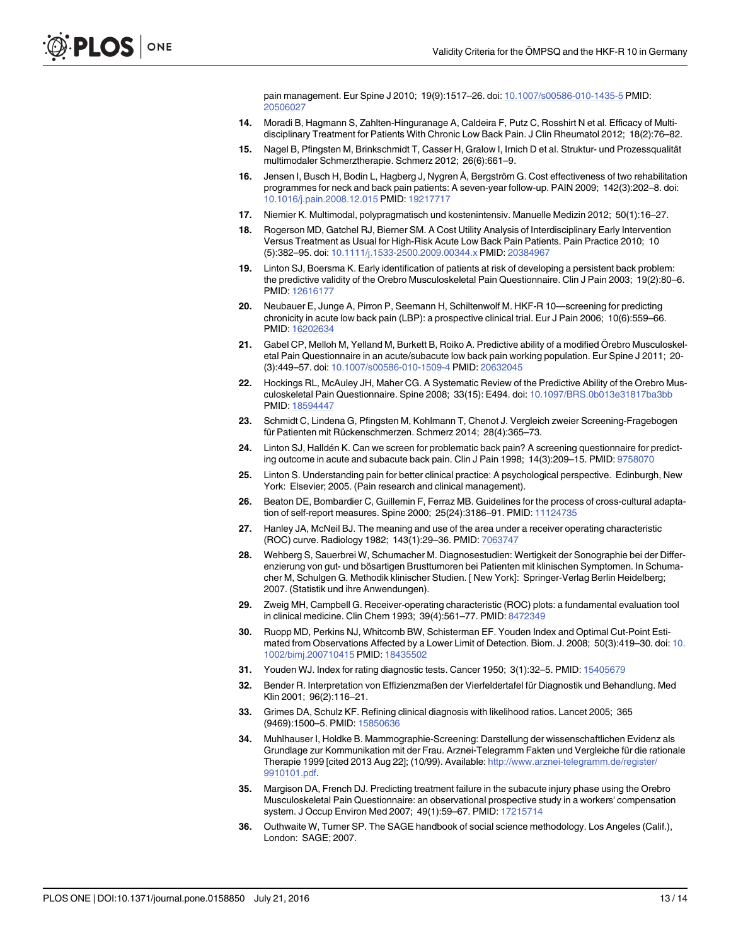pain management. Eur Spine J 2010; 19(9):1517–26. doi: [10.1007/s00586-010-1435-5](http://dx.doi.org/10.1007/s00586-010-1435-5) PMID: [20506027](http://www.ncbi.nlm.nih.gov/pubmed/20506027)

- <span id="page-12-0"></span>[14.](#page-10-0) Moradi B, Hagmann S, Zahlten-Hinguranage A, Caldeira F, Putz C, Rosshirt N et al. Efficacy of Multidisciplinary Treatment for Patients With Chronic Low Back Pain. J Clin Rheumatol 2012; 18(2):76–82.
- [15.](#page-1-0) Nagel B, Pfingsten M, Brinkschmidt T, Casser H, Gralow I, Irnich D et al. Struktur- und Prozessqualität multimodaler Schmerztherapie. Schmerz 2012; 26(6):661–9.
- [16.](#page-1-0) Jensen I, Busch H, Bodin L, Hagberg J, Nygren Å, Bergström G. Cost effectiveness of two rehabilitation programmes for neck and back pain patients: A seven-year follow-up. PAIN 2009; 142(3):202–8. doi: [10.1016/j.pain.2008.12.015](http://dx.doi.org/10.1016/j.pain.2008.12.015) PMID: [19217717](http://www.ncbi.nlm.nih.gov/pubmed/19217717)
- [17.](#page-1-0) Niemier K. Multimodal, polypragmatisch und kostenintensiv. Manuelle Medizin 2012; 50(1):16–27.
- [18.](#page-1-0) Rogerson MD, Gatchel RJ, Bierner SM. A Cost Utility Analysis of Interdisciplinary Early Intervention Versus Treatment as Usual for High-Risk Acute Low Back Pain Patients. Pain Practice 2010; 10 (5):382–95. doi: [10.1111/j.1533-2500.2009.00344.x](http://dx.doi.org/10.1111/j.1533-2500.2009.00344.x) PMID: [20384967](http://www.ncbi.nlm.nih.gov/pubmed/20384967)
- [19.](#page-1-0) Linton SJ, Boersma K. Early identification of patients at risk of developing a persistent back problem: the predictive validity of the Orebro Musculoskeletal Pain Questionnaire. Clin J Pain 2003; 19(2):80–6. PMID: [12616177](http://www.ncbi.nlm.nih.gov/pubmed/12616177)
- [20.](#page-1-0) Neubauer E, Junge A, Pirron P, Seemann H, Schiltenwolf M. HKF-R 10—screening for predicting chronicity in acute low back pain (LBP): a prospective clinical trial. Eur J Pain 2006; 10(6):559–66. PMID: [16202634](http://www.ncbi.nlm.nih.gov/pubmed/16202634)
- [21.](#page-1-0) Gabel CP, Melloh M, Yelland M, Burkett B, Roiko A. Predictive ability of a modified Örebro Musculoskeletal Pain Questionnaire in an acute/subacute low back pain working population. Eur Spine J 2011; 20- (3):449–57. doi: [10.1007/s00586-010-1509-4](http://dx.doi.org/10.1007/s00586-010-1509-4) PMID: [20632045](http://www.ncbi.nlm.nih.gov/pubmed/20632045)
- [22.](#page-1-0) Hockings RL, McAuley JH, Maher CG. A Systematic Review of the Predictive Ability of the Orebro Musculoskeletal Pain Questionnaire. Spine 2008; 33(15): E494. doi: [10.1097/BRS.0b013e31817ba3bb](http://dx.doi.org/10.1097/BRS.0b013e31817ba3bb) PMID: [18594447](http://www.ncbi.nlm.nih.gov/pubmed/18594447)
- [23.](#page-1-0) Schmidt C, Lindena G, Pfingsten M, Kohlmann T, Chenot J. Vergleich zweier Screening-Fragebogen für Patienten mit Rückenschmerzen. Schmerz 2014; 28(4):365–73.
- [24.](#page-2-0) Linton SJ, Halldén K. Can we screen for problematic back pain? A screening questionnaire for predicting outcome in acute and subacute back pain. Clin J Pain 1998; 14(3):209–15. PMID: [9758070](http://www.ncbi.nlm.nih.gov/pubmed/9758070)
- [25.](#page-2-0) Linton S. Understanding pain for better clinical practice: A psychological perspective. Edinburgh, New York: Elsevier; 2005. (Pain research and clinical management).
- [26.](#page-2-0) Beaton DE, Bombardier C, Guillemin F, Ferraz MB. Guidelines for the process of cross-cultural adaptation of self-report measures. Spine 2000; 25(24):3186–91. PMID: [11124735](http://www.ncbi.nlm.nih.gov/pubmed/11124735)
- [27.](#page-4-0) Hanley JA, McNeil BJ. The meaning and use of the area under a receiver operating characteristic (ROC) curve. Radiology 1982; 143(1):29–36. PMID: [7063747](http://www.ncbi.nlm.nih.gov/pubmed/7063747)
- [28.](#page-4-0) Wehberg S, Sauerbrei W, Schumacher M. Diagnosestudien: Wertigkeit der Sonographie bei der Differenzierung von gut- und bösartigen Brusttumoren bei Patienten mit klinischen Symptomen. In Schumacher M, Schulgen G. Methodik klinischer Studien. [ New York]: Springer-Verlag Berlin Heidelberg; 2007. (Statistik und ihre Anwendungen).
- [29.](#page-4-0) Zweig MH, Campbell G. Receiver-operating characteristic (ROC) plots: a fundamental evaluation tool in clinical medicine. Clin Chem 1993; 39(4):561–77. PMID: [8472349](http://www.ncbi.nlm.nih.gov/pubmed/8472349)
- [30.](#page-4-0) Ruopp MD, Perkins NJ, Whitcomb BW, Schisterman EF. Youden Index and Optimal Cut-Point Estimated from Observations Affected by a Lower Limit of Detection. Biom. J. 2008; 50(3):419–30. doi: [10.](http://dx.doi.org/10.1002/bimj.200710415) [1002/bimj.200710415](http://dx.doi.org/10.1002/bimj.200710415) PMID: [18435502](http://www.ncbi.nlm.nih.gov/pubmed/18435502)
- [31.](#page-4-0) Youden WJ. Index for rating diagnostic tests. Cancer 1950; 3(1):32-5. PMID: [15405679](http://www.ncbi.nlm.nih.gov/pubmed/15405679)
- [32.](#page-4-0) Bender R. Interpretation von Effizienzmaßen der Vierfeldertafel für Diagnostik und Behandlung. Med Klin 2001; 96(2):116–21.
- [33.](#page-4-0) Grimes DA, Schulz KF. Refining clinical diagnosis with likelihood ratios. Lancet 2005; 365 (9469):1500–5. PMID: [15850636](http://www.ncbi.nlm.nih.gov/pubmed/15850636)
- [34.](#page-4-0) Muhlhauser I, Holdke B. Mammographie-Screening: Darstellung der wissenschaftlichen Evidenz als Grundlage zur Kommunikation mit der Frau. Arznei-Telegramm Fakten und Vergleiche für die rationale Therapie 1999 [cited 2013 Aug 22]; (10/99). Available: [http://www.arznei-telegramm.de/register/](http://www.arznei-telegramm.de/register/9910101.pdf) [9910101.pdf.](http://www.arznei-telegramm.de/register/9910101.pdf)
- [35.](#page-8-0) Margison DA, French DJ. Predicting treatment failure in the subacute injury phase using the Orebro Musculoskeletal Pain Questionnaire: an observational prospective study in a workers' compensation system. J Occup Environ Med 2007; 49(1):59–67. PMID: [17215714](http://www.ncbi.nlm.nih.gov/pubmed/17215714)
- [36.](#page-9-0) Outhwaite W, Turner SP. The SAGE handbook of social science methodology. Los Angeles (Calif.), London: SAGE; 2007.